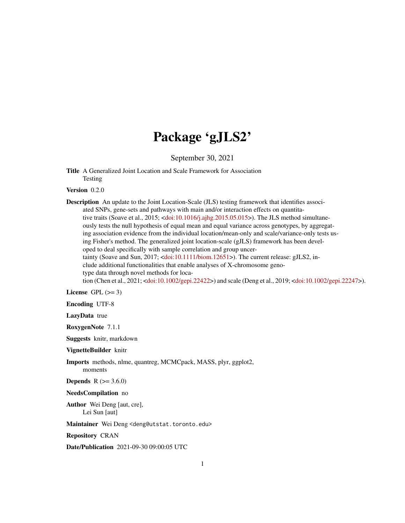## Package 'gJLS2'

September 30, 2021

Title A Generalized Joint Location and Scale Framework for Association Testing

Version 0.2.0

Description An update to the Joint Location-Scale (JLS) testing framework that identifies associated SNPs, gene-sets and pathways with main and/or interaction effects on quantitative traits (Soave et al., 2015; [<doi:10.1016/j.ajhg.2015.05.015>](https://doi.org/10.1016/j.ajhg.2015.05.015)). The JLS method simultaneously tests the null hypothesis of equal mean and equal variance across genotypes, by aggregating association evidence from the individual location/mean-only and scale/variance-only tests using Fisher's method. The generalized joint location-scale (gJLS) framework has been developed to deal specifically with sample correlation and group uncertainty (Soave and Sun, 2017; [<doi:10.1111/biom.12651>](https://doi.org/10.1111/biom.12651)). The current release: gJLS2, include additional functionalities that enable analyses of X-chromosome genotype data through novel methods for location (Chen et al., 2021; [<doi:10.1002/gepi.22422>](https://doi.org/10.1002/gepi.22422)) and scale (Deng et al., 2019; [<doi:10.1002/gepi.22247>](https://doi.org/10.1002/gepi.22247)).

License GPL  $(>= 3)$ 

Encoding UTF-8

LazyData true

RoxygenNote 7.1.1

Suggests knitr, markdown

VignetteBuilder knitr

Imports methods, nlme, quantreg, MCMCpack, MASS, plyr, ggplot2,

moments

**Depends**  $R$  ( $> = 3.6.0$ )

NeedsCompilation no

Author Wei Deng [aut, cre], Lei Sun [aut]

Maintainer Wei Deng <deng@utstat.toronto.edu>

Repository CRAN

Date/Publication 2021-09-30 09:00:05 UTC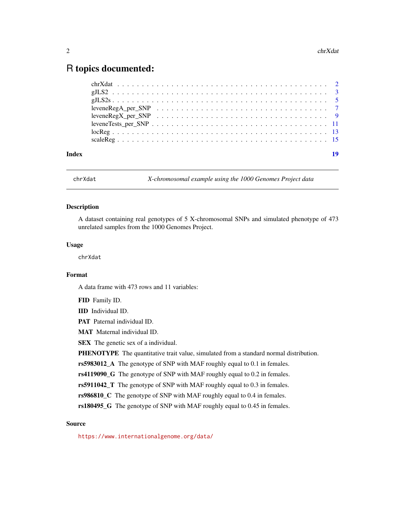### <span id="page-1-0"></span>R topics documented:

| Index | 19 |
|-------|----|
|       |    |
|       |    |
|       |    |
|       |    |
|       |    |
|       |    |
|       |    |
|       |    |

chrXdat *X-chromosomal example using the 1000 Genomes Project data*

#### Description

A dataset containing real genotypes of 5 X-chromosomal SNPs and simulated phenotype of 473 unrelated samples from the 1000 Genomes Project.

#### Usage

chrXdat

#### Format

A data frame with 473 rows and 11 variables:

FID Family ID.

IID Individual ID.

PAT Paternal individual ID.

MAT Maternal individual ID.

SEX The genetic sex of a individual.

PHENOTYPE The quantitative trait value, simulated from a standard normal distribution.

rs5983012\_A The genotype of SNP with MAF roughly equal to 0.1 in females.

rs4119090\_G The genotype of SNP with MAF roughly equal to 0.2 in females.

rs5911042\_T The genotype of SNP with MAF roughly equal to 0.3 in females.

rs986810\_C The genotype of SNP with MAF roughly equal to 0.4 in females.

rs180495\_G The genotype of SNP with MAF roughly equal to 0.45 in females.

#### Source

<https://www.internationalgenome.org/data/>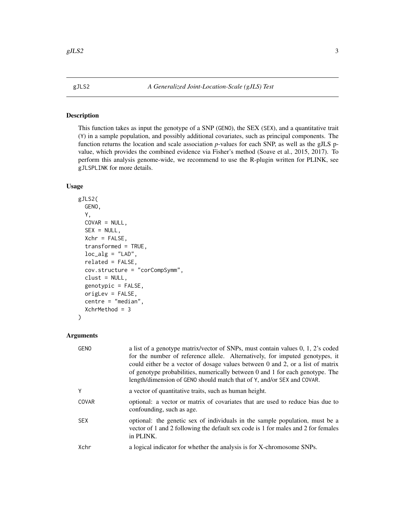<span id="page-2-0"></span>

#### Description

This function takes as input the genotype of a SNP (GENO), the SEX (SEX), and a quantitative trait (Y) in a sample population, and possibly additional covariates, such as principal components. The function returns the location and scale association *p*-values for each SNP, as well as the gJLS pvalue, which provides the combined evidence via Fisher's method (Soave et al., 2015, 2017). To perform this analysis genome-wide, we recommend to use the R-plugin written for PLINK, see gJLSPLINK for more details.

#### Usage

```
gJLS2(
  GENO,
  Y,
  COVAR = NULL,SEX = NULL,Xchr = FALSE,
  transformed = TRUE,
  loc\_alg = "LAD",related = FALSE,
  cov.structure = "corCompSymm",
  clust = NULL,
  genotypic = FALSE,
  origLev = FALSE,
  centre = "median",
  XchrMethod = 3
)
```

| GENO       | a list of a genotype matrix/vector of SNPs, must contain values 0, 1, 2's coded<br>for the number of reference allele. Alternatively, for imputed genotypes, it<br>could either be a vector of dosage values between 0 and 2, or a list of matrix<br>of genotype probabilities, numerically between 0 and 1 for each genotype. The<br>length/dimension of GENO should match that of Y, and/or SEX and COVAR. |
|------------|--------------------------------------------------------------------------------------------------------------------------------------------------------------------------------------------------------------------------------------------------------------------------------------------------------------------------------------------------------------------------------------------------------------|
| γ          | a vector of quantitative traits, such as human height.                                                                                                                                                                                                                                                                                                                                                       |
| COVAR      | optional: a vector or matrix of covariates that are used to reduce bias due to<br>confounding, such as age.                                                                                                                                                                                                                                                                                                  |
| <b>SEX</b> | optional: the genetic sex of individuals in the sample population, must be a<br>vector of 1 and 2 following the default sex code is 1 for males and 2 for females<br>in PLINK.                                                                                                                                                                                                                               |
| Xchr       | a logical indicator for whether the analysis is for X-chromosome SNPs.                                                                                                                                                                                                                                                                                                                                       |
|            |                                                                                                                                                                                                                                                                                                                                                                                                              |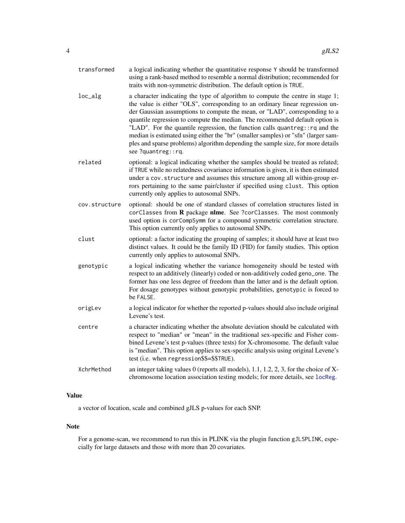<span id="page-3-0"></span>

| transformed   | a logical indicating whether the quantitative response Y should be transformed<br>using a rank-based method to resemble a normal distribution; recommended for<br>traits with non-symmetric distribution. The default option is TRUE.                                                                                                                                                                                                                                                                                                                                                                       |
|---------------|-------------------------------------------------------------------------------------------------------------------------------------------------------------------------------------------------------------------------------------------------------------------------------------------------------------------------------------------------------------------------------------------------------------------------------------------------------------------------------------------------------------------------------------------------------------------------------------------------------------|
| loc_alg       | a character indicating the type of algorithm to compute the centre in stage 1;<br>the value is either "OLS", corresponding to an ordinary linear regression un-<br>der Gaussian assumptions to compute the mean, or "LAD", corresponding to a<br>quantile regression to compute the median. The recommended default option is<br>"LAD". For the quantile regression, the function calls quantreg:: rq and the<br>median is estimated using either the "br" (smaller samples) or "sfn" (larger sam-<br>ples and sparse problems) algorithm depending the sample size, for more details<br>see ?quantreg::rq. |
| related       | optional: a logical indicating whether the samples should be treated as related;<br>if TRUE while no relatedness covariance information is given, it is then estimated<br>under a cov. structure and assumes this structure among all within-group er-<br>rors pertaining to the same pair/cluster if specified using clust. This option<br>currently only applies to autosomal SNPs.                                                                                                                                                                                                                       |
| cov.structure | optional: should be one of standard classes of correlation structures listed in<br>corClasses from R package nlme. See ?corClasses. The most commonly<br>used option is corCompSymm for a compound symmetric correlation structure.<br>This option currently only applies to autosomal SNPs.                                                                                                                                                                                                                                                                                                                |
| clust         | optional: a factor indicating the grouping of samples; it should have at least two<br>distinct values. It could be the family ID (FID) for family studies. This option<br>currently only applies to autosomal SNPs.                                                                                                                                                                                                                                                                                                                                                                                         |
| genotypic     | a logical indicating whether the variance homogeneity should be tested with<br>respect to an additively (linearly) coded or non-additively coded geno_one. The<br>former has one less degree of freedom than the latter and is the default option.<br>For dosage genotypes without genotypic probabilities, genotypic is forced to<br>be FALSE.                                                                                                                                                                                                                                                             |
| origLev       | a logical indicator for whether the reported p-values should also include original<br>Levene's test.                                                                                                                                                                                                                                                                                                                                                                                                                                                                                                        |
| centre        | a character indicating whether the absolute deviation should be calculated with<br>respect to "median" or "mean" in the traditional sex-specific and Fisher com-<br>bined Levene's test p-values (three tests) for X-chromosome. The default value<br>is "median". This option applies to sex-specific analysis using original Levene's<br>test (i.e. when regression\$\$=\$\$TRUE).                                                                                                                                                                                                                        |
| XchrMethod    | an integer taking values $0$ (reports all models), 1.1, 1.2, 2, 3, for the choice of X-<br>chromosome location association testing models; for more details, see locReg.                                                                                                                                                                                                                                                                                                                                                                                                                                    |

#### Value

a vector of location, scale and combined gJLS p-values for each SNP.

#### Note

For a genome-scan, we recommend to run this in PLINK via the plugin function gJLSPLINK, especially for large datasets and those with more than 20 covariates.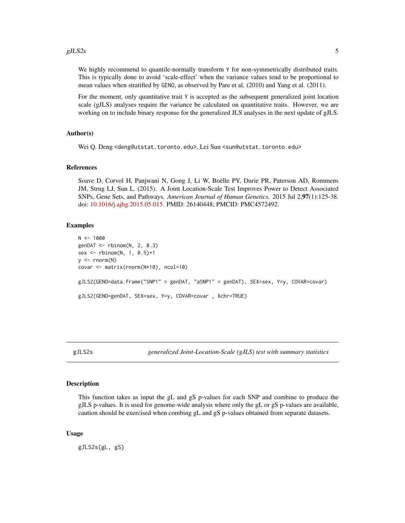<span id="page-4-0"></span>We highly recommend to quantile-normally transform Y for non-symmetrically distributed traits. This is typically done to avoid 'scale-effect' when the variance values tend to be proportional to mean values when stratified by GENO, as observed by Pare et al. (2010) and Yang et al. (2011).

For the moment, only quantitative trait Y is accepted as the subsequent generalized joint location scale (gJLS) analyses require the variance be calculated on quantitative traits. However, we are working on to include binary response for the generalized JLS analyses in the next update of gJLS.

#### Author(s)

Wei Q. Deng <deng@utstat.toronto.edu>, Lei Sun <sun@utstat.toronto.edu>

#### References

Soave D, Corvol H, Panjwani N, Gong J, Li W, Boëlle PY, Durie PR, Paterson AD, Rommens JM, Strug LJ, Sun L. (2015). A Joint Location-Scale Test Improves Power to Detect Associated SNPs, Gene Sets, and Pathways. *American Journal of Human Genetics*. 2015 Jul 2;97(1):125-38. doi: [10.1016/j.ajhg.2015.05.015.](https://doi.org/10.1016/j.ajhg.2015.05.015) PMID: 26140448; PMCID: PMC4572492.

#### Examples

```
N < - 1000genDAT < - rbinom(N, 2, 0.3)sex <- rbinom(N, 1, 0.5)+1
y \leftarrow \text{norm}(N)covar <- matrix(rnorm(N*10), ncol=10)
gJLS2(GENO=data.frame("SNP1" = genDAT, "aSNP1" = genDAT), SEX=sex, Y=y, COVAR=covar)
gJLS2(GENO=genDAT, SEX=sex, Y=y, COVAR=covar , Xchr=TRUE)
```
gJLS2s *generalized Joint-Location-Scale (gJLS) test with summary statistics*

#### **Description**

This function takes as input the gL and gS p-values for each SNP and combine to produce the gJLS p-values. It is used for genome-wide analysis where only the gL or gS p-values are available, caution should be exercised when combing gL and gS p-values obtained from separate datasets.

#### Usage

gJLS2s(gL, gS)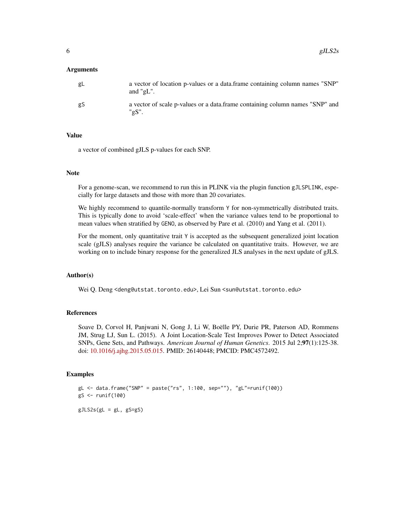#### Arguments

| gL | a vector of location p-values or a data.frame containing column names "SNP"<br>and " $\mathfrak{g}$ L". |
|----|---------------------------------------------------------------------------------------------------------|
| gS | a vector of scale p-values or a data.frame containing column names "SNP" and<br>"gS".                   |

#### Value

a vector of combined gJLS p-values for each SNP.

#### Note

For a genome-scan, we recommend to run this in PLINK via the plugin function gJLSPLINK, especially for large datasets and those with more than 20 covariates.

We highly recommend to quantile-normally transform Y for non-symmetrically distributed traits. This is typically done to avoid 'scale-effect' when the variance values tend to be proportional to mean values when stratified by GENO, as observed by Pare et al. (2010) and Yang et al. (2011).

For the moment, only quantitative trait Y is accepted as the subsequent generalized joint location scale (gJLS) analyses require the variance be calculated on quantitative traits. However, we are working on to include binary response for the generalized JLS analyses in the next update of gJLS.

#### Author(s)

Wei Q. Deng <deng@utstat.toronto.edu>, Lei Sun <sun@utstat.toronto.edu>

#### References

Soave D, Corvol H, Panjwani N, Gong J, Li W, Boëlle PY, Durie PR, Paterson AD, Rommens JM, Strug LJ, Sun L. (2015). A Joint Location-Scale Test Improves Power to Detect Associated SNPs, Gene Sets, and Pathways. *American Journal of Human Genetics*. 2015 Jul 2;97(1):125-38. doi: [10.1016/j.ajhg.2015.05.015.](https://doi.org/10.1016/j.ajhg.2015.05.015) PMID: 26140448; PMCID: PMC4572492.

#### Examples

 $gL < -$  data.frame("SNP" = paste("rs", 1:100, sep=""), "gL"=runif(100)) gS <- runif(100)  $gJLS2s(gL = gL, gS=gS)$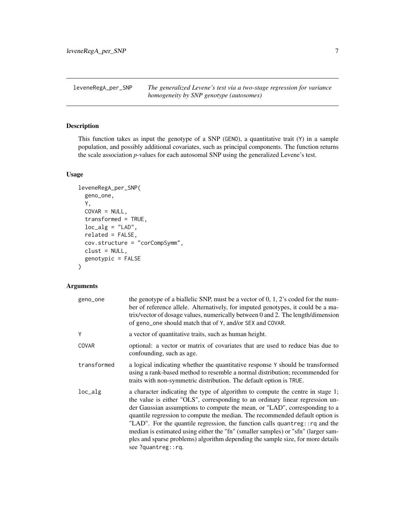<span id="page-6-0"></span>leveneRegA\_per\_SNP *The generalized Levene's test via a two-stage regression for variance homogeneity by SNP genotype (autosomes)*

#### Description

This function takes as input the genotype of a SNP (GENO), a quantitative trait (Y) in a sample population, and possibly additional covariates, such as principal components. The function returns the scale association *p*-values for each autosomal SNP using the generalized Levene's test.

#### Usage

```
leveneRegA_per_SNP(
 geno_one,
 Y,
 COVAR = NULL,transformed = TRUE,
  loc\_alg = "LAD",related = FALSE,cov.structure = "corCompSymm",
 clust = NULL,
 genotypic = FALSE
)
```

| geno_one    | the genotype of a biallelic SNP, must be a vector of $0, 1, 2$ 's coded for the num-<br>ber of reference allele. Alternatively, for imputed genotypes, it could be a ma-<br>trix/vector of dosage values, numerically between 0 and 2. The length/dimension<br>of geno_one should match that of Y, and/or SEX and COVAR.                                                                                                                                                                                                                                                                                    |
|-------------|-------------------------------------------------------------------------------------------------------------------------------------------------------------------------------------------------------------------------------------------------------------------------------------------------------------------------------------------------------------------------------------------------------------------------------------------------------------------------------------------------------------------------------------------------------------------------------------------------------------|
| Υ           | a vector of quantitative traits, such as human height.                                                                                                                                                                                                                                                                                                                                                                                                                                                                                                                                                      |
| COVAR       | optional: a vector or matrix of covariates that are used to reduce bias due to<br>confounding, such as age.                                                                                                                                                                                                                                                                                                                                                                                                                                                                                                 |
| transformed | a logical indicating whether the quantitative response Y should be transformed<br>using a rank-based method to resemble a normal distribution; recommended for<br>traits with non-symmetric distribution. The default option is TRUE.                                                                                                                                                                                                                                                                                                                                                                       |
| loc_alg     | a character indicating the type of algorithm to compute the centre in stage 1;<br>the value is either "OLS", corresponding to an ordinary linear regression un-<br>der Gaussian assumptions to compute the mean, or "LAD", corresponding to a<br>quantile regression to compute the median. The recommended default option is<br>"LAD". For the quantile regression, the function calls quantreg:: rq and the<br>median is estimated using either the "fn" (smaller samples) or "sfn" (larger sam-<br>ples and sparse problems) algorithm depending the sample size, for more details<br>see ?quantreg::rq. |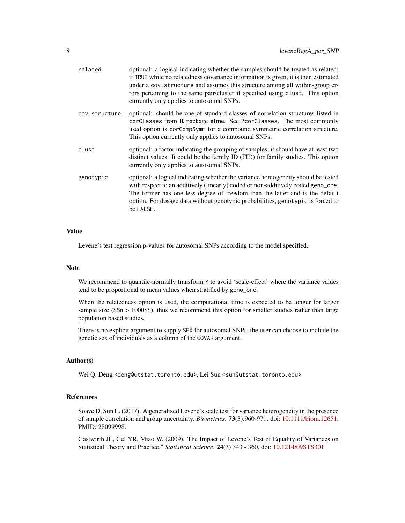| related       | optional: a logical indicating whether the samples should be treated as related;<br>if TRUE while no relatedness covariance information is given, it is then estimated<br>under a cov.structure and assumes this structure among all within-group er-<br>rors pertaining to the same pair/cluster if specified using clust. This option<br>currently only applies to autosomal SNPs. |
|---------------|--------------------------------------------------------------------------------------------------------------------------------------------------------------------------------------------------------------------------------------------------------------------------------------------------------------------------------------------------------------------------------------|
| cov.structure | optional: should be one of standard classes of correlation structures listed in<br>$cor\texttt{Classes}$ from <b>R</b> package <b>nlme</b> . See ?corClasses. The most commonly<br>used option is corCompSymm for a compound symmetric correlation structure.<br>This option currently only applies to autosomal SNPs.                                                               |
| clust         | optional: a factor indicating the grouping of samples; it should have at least two<br>distinct values. It could be the family ID (FID) for family studies. This option<br>currently only applies to autosomal SNPs.                                                                                                                                                                  |
| genotypic     | optional: a logical indicating whether the variance homogeneity should be tested<br>with respect to an additively (linearly) coded or non-additively coded geno_one.<br>The former has one less degree of freedom than the latter and is the default<br>option. For dosage data without genotypic probabilities, genotypic is forced to<br>be FALSE.                                 |

#### Value

Levene's test regression p-values for autosomal SNPs according to the model specified.

#### Note

We recommend to quantile-normally transform Y to avoid 'scale-effect' where the variance values tend to be proportional to mean values when stratified by geno\_one.

When the relatedness option is used, the computational time is expected to be longer for larger sample size ( $\$$ \$n > 1000\$\$), thus we recommend this option for smaller studies rather than large population based studies.

There is no explicit argument to supply SEX for autosomal SNPs, the user can choose to include the genetic sex of individuals as a column of the COVAR argument.

#### Author(s)

Wei Q. Deng <deng@utstat.toronto.edu>, Lei Sun <sun@utstat.toronto.edu>

#### References

Soave D, Sun L. (2017). A generalized Levene's scale test for variance heterogeneity in the presence of sample correlation and group uncertainty. *Biometrics*. 73(3):960-971. doi: [10.1111/biom.12651.](https://doi.org/10.1111/biom.12651) PMID: 28099998.

Gastwirth JL, Gel YR, Miao W. (2009). The Impact of Levene's Test of Equality of Variances on Statistical Theory and Practice." *Statistical Science*. 24(3) 343 - 360, doi: [10.1214/09STS301](https://doi.org/10.1214/09-STS301)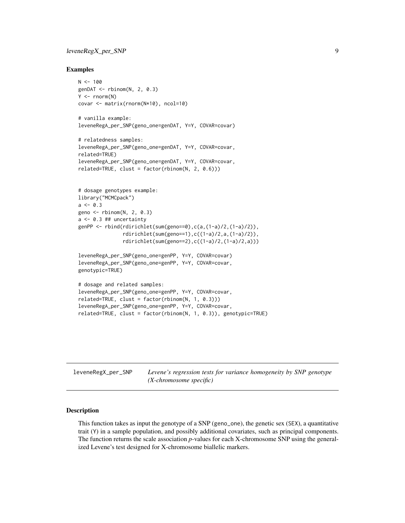#### <span id="page-8-0"></span>leveneRegX\_per\_SNP 9

#### Examples

```
N < - 100genDAT < - rbinom(N, 2, 0.3)Y \leftarrow \text{norm}(N)covar <- matrix(rnorm(N*10), ncol=10)
# vanilla example:
leveneRegA_per_SNP(geno_one=genDAT, Y=Y, COVAR=covar)
# relatedness samples:
leveneRegA_per_SNP(geno_one=genDAT, Y=Y, COVAR=covar,
related=TRUE)
leveneRegA_per_SNP(geno_one=genDAT, Y=Y, COVAR=covar,
related=TRUE, clust = factor(rbinom(N, 2, 0.6)))# dosage genotypes example:
library("MCMCpack")
a \le -0.3geno <- rbinom(N, 2, 0.3)
a \leftarrow 0.3 ## uncertainty
genPP <- rbind(rdirichlet(sum(geno==0),c(a,(1-a)/2,(1-a)/2)),
               rdirichlet(sum(geno==1),c((1-a)/2,a,(1-a)/2)),
               rdirichlet(sum(geno==2),c((1-a)/2,(1-a)/2,a)))
leveneRegA_per_SNP(geno_one=genPP, Y=Y, COVAR=covar)
leveneRegA_per_SNP(geno_one=genPP, Y=Y, COVAR=covar,
genotypic=TRUE)
# dosage and related samples:
leveneRegA_per_SNP(geno_one=genPP, Y=Y, COVAR=covar,
related=TRUE, clust = factor(rbinom(N, 1, 0.3)))
leveneRegA_per_SNP(geno_one=genPP, Y=Y, COVAR=covar,
related=TRUE, clust = factor(rbinom(N, 1, 0.3)), genotypic=TRUE)
```

| leveneRegX_per_SNP | Levene's regression tests for variance homogeneity by SNP genotype |  |
|--------------------|--------------------------------------------------------------------|--|
|                    | $(X-chromosome specific)$                                          |  |

#### Description

This function takes as input the genotype of a SNP (geno\_one), the genetic sex (SEX), a quantitative trait (Y) in a sample population, and possibly additional covariates, such as principal components. The function returns the scale association *p*-values for each X-chromosome SNP using the generalized Levene's test designed for X-chromosome biallelic markers.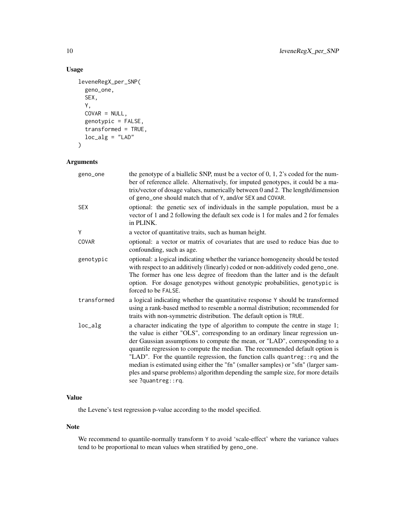#### Usage

```
leveneRegX_per_SNP(
  geno_one,
  SEX,
  Y,
  COVAR = NULL,genotypic = FALSE,
  transformed = TRUE,
  loc\_alg = "LAD"\mathcal{L}
```
#### Arguments

| geno_one    | the genotype of a biallelic SNP, must be a vector of $0, 1, 2$ 's coded for the num-<br>ber of reference allele. Alternatively, for imputed genotypes, it could be a ma-<br>trix/vector of dosage values, numerically between 0 and 2. The length/dimension<br>of geno_one should match that of Y, and/or SEX and COVAR.                                                                                                                                                                                                                                                                                    |
|-------------|-------------------------------------------------------------------------------------------------------------------------------------------------------------------------------------------------------------------------------------------------------------------------------------------------------------------------------------------------------------------------------------------------------------------------------------------------------------------------------------------------------------------------------------------------------------------------------------------------------------|
| <b>SEX</b>  | optional: the genetic sex of individuals in the sample population, must be a<br>vector of 1 and 2 following the default sex code is 1 for males and 2 for females<br>in PLINK.                                                                                                                                                                                                                                                                                                                                                                                                                              |
| Υ           | a vector of quantitative traits, such as human height.                                                                                                                                                                                                                                                                                                                                                                                                                                                                                                                                                      |
| COVAR       | optional: a vector or matrix of covariates that are used to reduce bias due to<br>confounding, such as age.                                                                                                                                                                                                                                                                                                                                                                                                                                                                                                 |
| genotypic   | optional: a logical indicating whether the variance homogeneity should be tested<br>with respect to an additively (linearly) coded or non-additively coded geno_one.<br>The former has one less degree of freedom than the latter and is the default<br>option. For dosage genotypes without genotypic probabilities, genotypic is<br>forced to be FALSE.                                                                                                                                                                                                                                                   |
| transformed | a logical indicating whether the quantitative response Y should be transformed<br>using a rank-based method to resemble a normal distribution; recommended for<br>traits with non-symmetric distribution. The default option is TRUE.                                                                                                                                                                                                                                                                                                                                                                       |
| loc_alg     | a character indicating the type of algorithm to compute the centre in stage 1;<br>the value is either "OLS", corresponding to an ordinary linear regression un-<br>der Gaussian assumptions to compute the mean, or "LAD", corresponding to a<br>quantile regression to compute the median. The recommended default option is<br>"LAD". For the quantile regression, the function calls quantreg:: rq and the<br>median is estimated using either the "fn" (smaller samples) or "sfn" (larger sam-<br>ples and sparse problems) algorithm depending the sample size, for more details<br>see ?quantreg::rq. |

#### Value

the Levene's test regression p-value according to the model specified.

#### Note

We recommend to quantile-normally transform Y to avoid 'scale-effect' where the variance values tend to be proportional to mean values when stratified by geno\_one.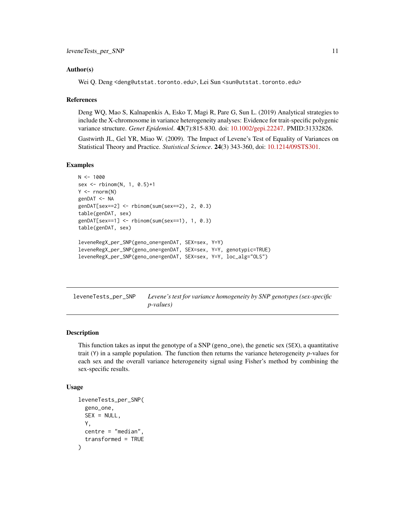#### <span id="page-10-0"></span>Author(s)

Wei Q. Deng <deng@utstat.toronto.edu>, Lei Sun <sun@utstat.toronto.edu>

#### References

Deng WQ, Mao S, Kalnapenkis A, Esko T, Magi R, Pare G, Sun L. (2019) Analytical strategies to include the X-chromosome in variance heterogeneity analyses: Evidence for trait-specific polygenic variance structure. *Genet Epidemiol*. 43(7):815-830. doi: [10.1002/gepi.22247.](https://doi.org/10.1002/gepi.22247) PMID:31332826.

Gastwirth JL, Gel YR, Miao W. (2009). The Impact of Levene's Test of Equality of Variances on Statistical Theory and Practice. *Statistical Science*. 24(3) 343-360, doi: [10.1214/09STS301.](https://doi.org/10.1214/09-STS301)

#### Examples

```
N < - 1000sex <- rbinom(N, 1, 0.5)+1
Y \leftarrow \text{rnorm}(N)genDAT <- NA
genDAT[sex==2] <- rbinom(sum(sex==2), 2, 0.3)
table(genDAT, sex)
genDAT[sex==1] <- rbinom(sum(sex==1), 1, 0.3)
table(genDAT, sex)
leveneRegX_per_SNP(geno_one=genDAT, SEX=sex, Y=Y)
leveneRegX_per_SNP(geno_one=genDAT, SEX=sex, Y=Y, genotypic=TRUE)
leveneRegX_per_SNP(geno_one=genDAT, SEX=sex, Y=Y, loc_alg="OLS")
```
leveneTests\_per\_SNP *Levene's test for variance homogeneity by SNP genotypes (sex-specific p-values)*

#### Description

This function takes as input the genotype of a SNP (geno\_one), the genetic sex (SEX), a quantitative trait (Y) in a sample population. The function then returns the variance heterogeneity *p*-values for each sex and the overall variance heterogeneity signal using Fisher's method by combining the sex-specific results.

#### Usage

```
leveneTests_per_SNP(
  geno_one,
  SEX = NULL,
 Y,
  centre = "median",
  transformed = TRUE
)
```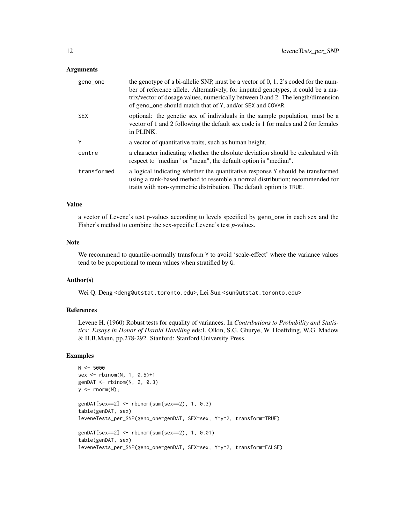#### **Arguments**

| geno_one    | the genotype of a bi-allelic SNP, must be a vector of $0, 1, 2$ 's coded for the num-<br>ber of reference allele. Alternatively, for imputed genotypes, it could be a ma-<br>trix/vector of dosage values, numerically between 0 and 2. The length/dimension<br>of geno_one should match that of Y, and/or SEX and COVAR. |
|-------------|---------------------------------------------------------------------------------------------------------------------------------------------------------------------------------------------------------------------------------------------------------------------------------------------------------------------------|
| <b>SEX</b>  | optional: the genetic sex of individuals in the sample population, must be a<br>vector of 1 and 2 following the default sex code is 1 for males and 2 for females<br>in PLINK.                                                                                                                                            |
| Y           | a vector of quantitative traits, such as human height.                                                                                                                                                                                                                                                                    |
| centre      | a character indicating whether the absolute deviation should be calculated with<br>respect to "median" or "mean", the default option is "median".                                                                                                                                                                         |
| transformed | a logical indicating whether the quantitative response Y should be transformed<br>using a rank-based method to resemble a normal distribution; recommended for<br>traits with non-symmetric distribution. The default option is TRUE.                                                                                     |

#### Value

a vector of Levene's test p-values according to levels specified by geno\_one in each sex and the Fisher's method to combine the sex-specific Levene's test *p*-values.

#### Note

We recommend to quantile-normally transform Y to avoid 'scale-effect' where the variance values tend to be proportional to mean values when stratified by G.

#### Author(s)

Wei Q. Deng <deng@utstat.toronto.edu>, Lei Sun <sun@utstat.toronto.edu>

#### References

Levene H. (1960) Robust tests for equality of variances. In *Contributions to Probability and Statistics: Essays in Honor of Harold Hotelling* eds:I. Olkin, S.G. Ghurye, W. Hoeffding, W.G. Madow & H.B.Mann, pp.278-292. Stanford: Stanford University Press.

#### Examples

```
N < -5000sex <- rbinom(N, 1, 0.5)+1
genDAT < - rbinom(N, 2, 0.3)y \le - rnorm(N);
genDAT[sex==2] <- rbinom(sum(sex==2), 1, 0.3)
table(genDAT, sex)
leveneTests_per_SNP(geno_one=genDAT, SEX=sex, Y=y^2, transform=TRUE)
genDAT[sex==2] <- rbinom(sum(sex==2), 1, 0.01)
table(genDAT, sex)
leveneTests_per_SNP(geno_one=genDAT, SEX=sex, Y=y^2, transform=FALSE)
```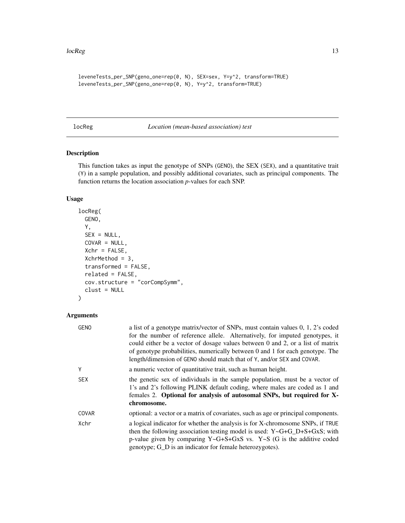#### <span id="page-12-0"></span> $l$ oc $Reg$  and  $l$  and  $l$  and  $l$  and  $l$  and  $l$  and  $l$  and  $l$  and  $l$  and  $l$  and  $l$  and  $l$  and  $l$  and  $l$  and  $l$  and  $l$  and  $l$  and  $l$  and  $l$  and  $l$  and  $l$  and  $l$  and  $l$  and  $l$  and  $l$  and  $l$  and  $l$  and

```
leveneTests_per_SNP(geno_one=rep(0, N), SEX=sex, Y=y^2, transform=TRUE)
leveneTests_per_SNP(geno_one=rep(0, N), Y=y^2, transform=TRUE)
```
<span id="page-12-1"></span>locReg *Location (mean-based association) test*

#### Description

This function takes as input the genotype of SNPs (GENO), the SEX (SEX), and a quantitative trait (Y) in a sample population, and possibly additional covariates, such as principal components. The function returns the location association *p*-values for each SNP.

#### Usage

```
locReg(
  GENO,
  Y,
  SEX = NULL,COVAR = NULL,Xchr = FALSE,
 XchrMethod = 3,
 transformed = FALSE,
  related = FALSE,
  cov.structure = "corCompSymm",
 clust = NULL
)
```

| <b>GENO</b> | a list of a genotype matrix/vector of SNPs, must contain values 0, 1, 2's coded<br>for the number of reference allele. Alternatively, for imputed genotypes, it<br>could either be a vector of dosage values between 0 and 2, or a list of matrix<br>of genotype probabilities, numerically between 0 and 1 for each genotype. The<br>length/dimension of GENO should match that of Y, and/or SEX and COVAR. |
|-------------|--------------------------------------------------------------------------------------------------------------------------------------------------------------------------------------------------------------------------------------------------------------------------------------------------------------------------------------------------------------------------------------------------------------|
| Y           | a numeric vector of quantitative trait, such as human height.                                                                                                                                                                                                                                                                                                                                                |
| <b>SEX</b>  | the genetic sex of individuals in the sample population, must be a vector of<br>1's and 2's following PLINK default coding, where males are coded as 1 and<br>females 2. Optional for analysis of autosomal SNPs, but required for X-<br>chromosome.                                                                                                                                                         |
| COVAR       | optional: a vector or a matrix of covariates, such as age or principal components.                                                                                                                                                                                                                                                                                                                           |
| Xchr        | a logical indicator for whether the analysis is for X-chromosome SNPs, if TRUE<br>then the following association testing model is used: $Y \sim G + G_D + S + G \times S$ ; with<br>p-value given by comparing $Y \sim G + S + G \times S$ vs. $Y \sim S$ (G is the additive coded<br>genotype; G_D is an indicator for female heterozygotes).                                                               |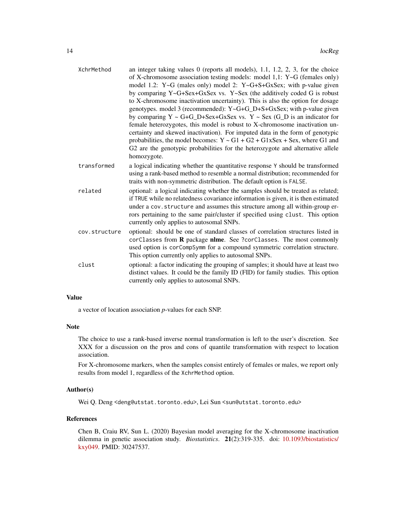| XchrMethod    | an integer taking values $0$ (reports all models), 1.1, 1.2, 2, 3, for the choice<br>of X-chromosome association testing models: model 1,1: $Y \sim G$ (females only)<br>model 1.2: $Y \sim G$ (males only) model 2: $Y \sim G + S + G \times S$ ex; with p-value given<br>by comparing Y~G+Sex+GxSex vs. Y~Sex (the additively coded G is robust<br>to X-chromosome inactivation uncertainty). This is also the option for dosage<br>genotypes. model 3 (recommended): Y~G+G_D+S+GxSex; with p-value given<br>by comparing $Y \sim G + G_D + Sex + GxSex$ vs. $Y \sim Sex(G_D)$ is an indicator for<br>female heterozygotes, this model is robust to X-chromosome inactivation un-<br>certainty and skewed inactivation). For imputed data in the form of genotypic<br>probabilities, the model becomes: $Y \sim G1 + G2 + G1xSex + Sex$ , where G1 and<br>G2 are the genotypic probabilities for the heterozygote and alternative allele<br>homozygote. |
|---------------|-----------------------------------------------------------------------------------------------------------------------------------------------------------------------------------------------------------------------------------------------------------------------------------------------------------------------------------------------------------------------------------------------------------------------------------------------------------------------------------------------------------------------------------------------------------------------------------------------------------------------------------------------------------------------------------------------------------------------------------------------------------------------------------------------------------------------------------------------------------------------------------------------------------------------------------------------------------|
| transformed   | a logical indicating whether the quantitative response Y should be transformed<br>using a rank-based method to resemble a normal distribution; recommended for<br>traits with non-symmetric distribution. The default option is FALSE.                                                                                                                                                                                                                                                                                                                                                                                                                                                                                                                                                                                                                                                                                                                    |
| related       | optional: a logical indicating whether the samples should be treated as related;<br>if TRUE while no relatedness covariance information is given, it is then estimated<br>under a cov.structure and assumes this structure among all within-group er-<br>rors pertaining to the same pair/cluster if specified using clust. This option<br>currently only applies to autosomal SNPs.                                                                                                                                                                                                                                                                                                                                                                                                                                                                                                                                                                      |
| cov.structure | optional: should be one of standard classes of correlation structures listed in<br>corClasses from <b>R</b> package <b>nlme</b> . See ?corClasses. The most commonly<br>used option is corCompSymm for a compound symmetric correlation structure.<br>This option currently only applies to autosomal SNPs.                                                                                                                                                                                                                                                                                                                                                                                                                                                                                                                                                                                                                                               |
| clust         | optional: a factor indicating the grouping of samples; it should have at least two<br>distinct values. It could be the family ID (FID) for family studies. This option<br>currently only applies to autosomal SNPs.                                                                                                                                                                                                                                                                                                                                                                                                                                                                                                                                                                                                                                                                                                                                       |

#### Value

a vector of location association *p*-values for each SNP.

#### Note

The choice to use a rank-based inverse normal transformation is left to the user's discretion. See XXX for a discussion on the pros and cons of quantile transformation with respect to location association.

For X-chromosome markers, when the samples consist entirely of females or males, we report only results from model 1, regardless of the XchrMethod option.

#### Author(s)

Wei Q. Deng <deng@utstat.toronto.edu>, Lei Sun <sun@utstat.toronto.edu>

#### References

Chen B, Craiu RV, Sun L. (2020) Bayesian model averaging for the X-chromosome inactivation dilemma in genetic association study. *Biostatistics*. 21(2):319-335. doi: [10.1093/biostatistics/](https://doi.org/10.1093/biostatistics/kxy049) [kxy049.](https://doi.org/10.1093/biostatistics/kxy049) PMID: 30247537.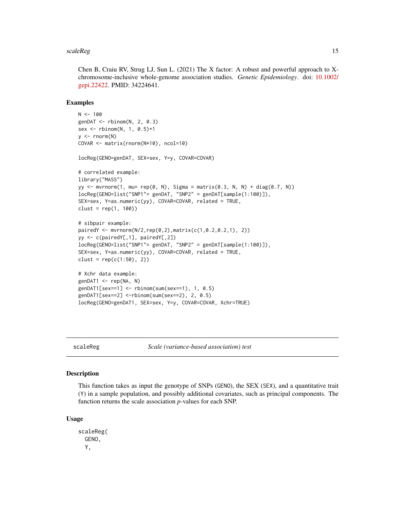#### <span id="page-14-0"></span>scaleReg  $\qquad \qquad \qquad 15$

Chen B, Craiu RV, Strug LJ, Sun L. (2021) The X factor: A robust and powerful approach to Xchromosome-inclusive whole-genome association studies. *Genetic Epidemiology*. doi: [10.1002/](https://doi.org/10.1002/gepi.22422) [gepi.22422.](https://doi.org/10.1002/gepi.22422) PMID: 34224641.

#### Examples

```
N < - 100genDAT < - rbinom(N, 2, 0.3)sex <- rbinom(N, 1, 0.5)+1
y \le - rnorm(N)COVAR <- matrix(rnorm(N*10), ncol=10)
locReg(GENO=genDAT, SEX=sex, Y=y, COVAR=COVAR)
# correlated example:
library("MASS")
yy <- mvrnorm(1, mu= rep(0, N), Sigma = matrix(0.3, N, N) + diag(0.7, N))
locReg(GENO=list("SNP1"= genDAT, "SNP2" = genDAT[sample(1:100)]),
SEX=sex, Y=as.numeric(yy), COVAR=COVAR, related = TRUE,
clust = rep(1, 100)# sibpair example:
pairedY <- mvrnorm(N/2,rep(0,2),matrix(c(1,0.2,0.2,1), 2))
yy <- c(pairedY[,1], pairedY[,2])
locReg(GENO=list("SNP1"= genDAT, "SNP2" = genDAT[sample(1:100)]),
SEX=sex, Y=as.numeric(yy), COVAR=COVAR, related = TRUE,
clust = rep(c(1:50), 2))# Xchr data example:
genDAT1 <- rep(NA, N)
genDAT1[sex==1] <- rbinom(sum(sex==1), 1, 0.5)
genDAT1[sex==2] <-rbinom(sum(sex==2), 2, 0.5)
locReg(GENO=genDAT1, SEX=sex, Y=y, COVAR=COVAR, Xchr=TRUE)
```
scaleReg *Scale (variance-based association) test*

#### Description

This function takes as input the genotype of SNPs (GENO), the SEX (SEX), and a quantitative trait (Y) in a sample population, and possibly additional covariates, such as principal components. The function returns the scale association *p*-values for each SNP.

#### Usage

scaleReg( GENO, Y,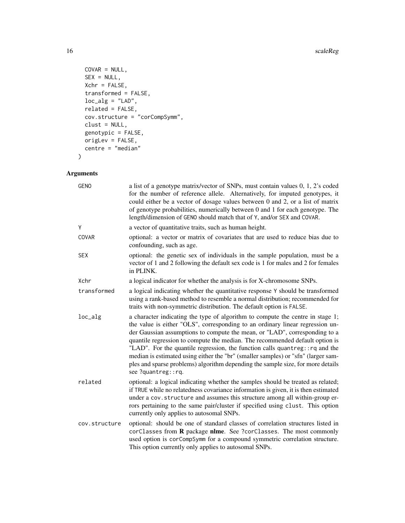#### 16 scaleReg and the state of the state of the state of the state of the state of the state of the state of the state of the state of the state of the state of the state of the state of the state of the state of the state o

```
COVAR = NULL,SEX = NULL,Xchr = FALSE,transformed = FALSE,
 loc\_alg = "LAD",related = FALSE,
 cov.structure = "corCompSymm",
 clust = NULL,
 genotypic = FALSE,
 origLev = FALSE,
 centre = "median"
\mathcal{L}
```

| <b>GENO</b>   | a list of a genotype matrix/vector of SNPs, must contain values 0, 1, 2's coded<br>for the number of reference allele. Alternatively, for imputed genotypes, it<br>could either be a vector of dosage values between 0 and 2, or a list of matrix<br>of genotype probabilities, numerically between 0 and 1 for each genotype. The<br>length/dimension of GENO should match that of Y, and/or SEX and COVAR.                                                                                                                                                                                                |
|---------------|-------------------------------------------------------------------------------------------------------------------------------------------------------------------------------------------------------------------------------------------------------------------------------------------------------------------------------------------------------------------------------------------------------------------------------------------------------------------------------------------------------------------------------------------------------------------------------------------------------------|
| Y             | a vector of quantitative traits, such as human height.                                                                                                                                                                                                                                                                                                                                                                                                                                                                                                                                                      |
| COVAR         | optional: a vector or matrix of covariates that are used to reduce bias due to<br>confounding, such as age.                                                                                                                                                                                                                                                                                                                                                                                                                                                                                                 |
| <b>SEX</b>    | optional: the genetic sex of individuals in the sample population, must be a<br>vector of 1 and 2 following the default sex code is 1 for males and 2 for females<br>in PLINK.                                                                                                                                                                                                                                                                                                                                                                                                                              |
| Xchr          | a logical indicator for whether the analysis is for X-chromosome SNPs.                                                                                                                                                                                                                                                                                                                                                                                                                                                                                                                                      |
| transformed   | a logical indicating whether the quantitative response Y should be transformed<br>using a rank-based method to resemble a normal distribution; recommended for<br>traits with non-symmetric distribution. The default option is FALSE.                                                                                                                                                                                                                                                                                                                                                                      |
| $loc_alg$     | a character indicating the type of algorithm to compute the centre in stage 1;<br>the value is either "OLS", corresponding to an ordinary linear regression un-<br>der Gaussian assumptions to compute the mean, or "LAD", corresponding to a<br>quantile regression to compute the median. The recommended default option is<br>"LAD". For the quantile regression, the function calls quantreg:: rq and the<br>median is estimated using either the "br" (smaller samples) or "sfn" (larger sam-<br>ples and sparse problems) algorithm depending the sample size, for more details<br>see ?quantreg::rq. |
| related       | optional: a logical indicating whether the samples should be treated as related;<br>if TRUE while no relatedness covariance information is given, it is then estimated<br>under a cov. structure and assumes this structure among all within-group er-<br>rors pertaining to the same pair/cluster if specified using clust. This option<br>currently only applies to autosomal SNPs.                                                                                                                                                                                                                       |
| cov.structure | optional: should be one of standard classes of correlation structures listed in<br>corClasses from R package nlme. See ?corClasses. The most commonly<br>used option is corCompSymm for a compound symmetric correlation structure.<br>This option currently only applies to autosomal SNPs.                                                                                                                                                                                                                                                                                                                |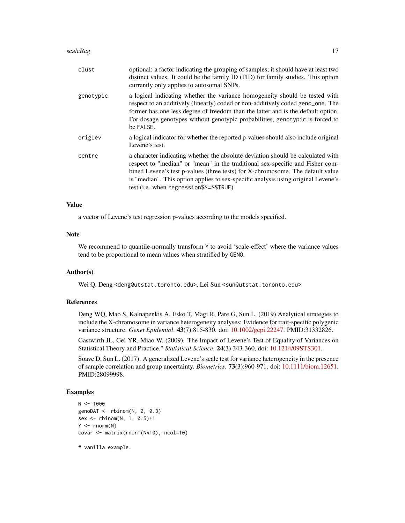#### $scaleReg$  and the contract of the contract of the contract of the contract of the contract of the contract of the contract of the contract of the contract of the contract of the contract of the contract of the contract of the

| clust     | optional: a factor indicating the grouping of samples; it should have at least two<br>distinct values. It could be the family ID (FID) for family studies. This option<br>currently only applies to autosomal SNPs.                                                                                                                                                                  |
|-----------|--------------------------------------------------------------------------------------------------------------------------------------------------------------------------------------------------------------------------------------------------------------------------------------------------------------------------------------------------------------------------------------|
| genotypic | a logical indicating whether the variance homogeneity should be tested with<br>respect to an additively (linearly) coded or non-additively coded geno_one. The<br>former has one less degree of freedom than the latter and is the default option.<br>For dosage genotypes without genotypic probabilities, genotypic is forced to<br>be FALSE.                                      |
| origLev   | a logical indicator for whether the reported p-values should also include original<br>Levene's test.                                                                                                                                                                                                                                                                                 |
| centre    | a character indicating whether the absolute deviation should be calculated with<br>respect to "median" or "mean" in the traditional sex-specific and Fisher com-<br>bined Levene's test p-values (three tests) for X-chromosome. The default value<br>is "median". This option applies to sex-specific analysis using original Levene's<br>test (i.e. when regression\$\$=\$\$TRUE). |

#### Value

a vector of Levene's test regression p-values according to the models specified.

#### Note

We recommend to quantile-normally transform Y to avoid 'scale-effect' where the variance values tend to be proportional to mean values when stratified by GENO.

#### Author(s)

Wei Q. Deng <deng@utstat.toronto.edu>, Lei Sun <sun@utstat.toronto.edu>

#### References

Deng WQ, Mao S, Kalnapenkis A, Esko T, Magi R, Pare G, Sun L. (2019) Analytical strategies to include the X-chromosome in variance heterogeneity analyses: Evidence for trait-specific polygenic variance structure. *Genet Epidemiol*. 43(7):815-830. doi: [10.1002/gepi.22247.](https://doi.org/10.1002/gepi.22247) PMID:31332826.

Gastwirth JL, Gel YR, Miao W. (2009). The Impact of Levene's Test of Equality of Variances on Statistical Theory and Practice." *Statistical Science*. 24(3) 343-360, doi: [10.1214/09STS301.](https://doi.org/10.1214/09-STS301)

Soave D, Sun L. (2017). A generalized Levene's scale test for variance heterogeneity in the presence of sample correlation and group uncertainty. *Biometrics*. 73(3):960-971. doi: [10.1111/biom.12651.](https://doi.org/10.1111/biom.12651) PMID:28099998.

#### Examples

```
N < - 1000genoDAT \leq rbinom(N, 2, 0.3)
sex <- rbinom(N, 1, 0.5)+1
Y \leftarrow \text{rnorm}(N)covar <- matrix(rnorm(N*10), ncol=10)
```
# vanilla example: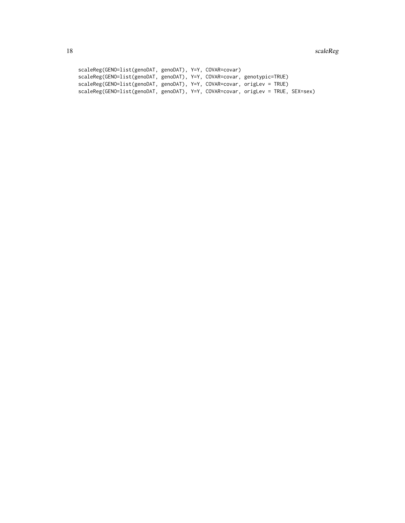```
scaleReg(GENO=list(genoDAT, genoDAT), Y=Y, COVAR=covar)
scaleReg(GENO=list(genoDAT, genoDAT), Y=Y, COVAR=covar, genotypic=TRUE)
scaleReg(GENO=list(genoDAT, genoDAT), Y=Y, COVAR=covar, origLev = TRUE)
scaleReg(GENO=list(genoDAT, genoDAT), Y=Y, COVAR=covar, origLev = TRUE, SEX=sex)
```